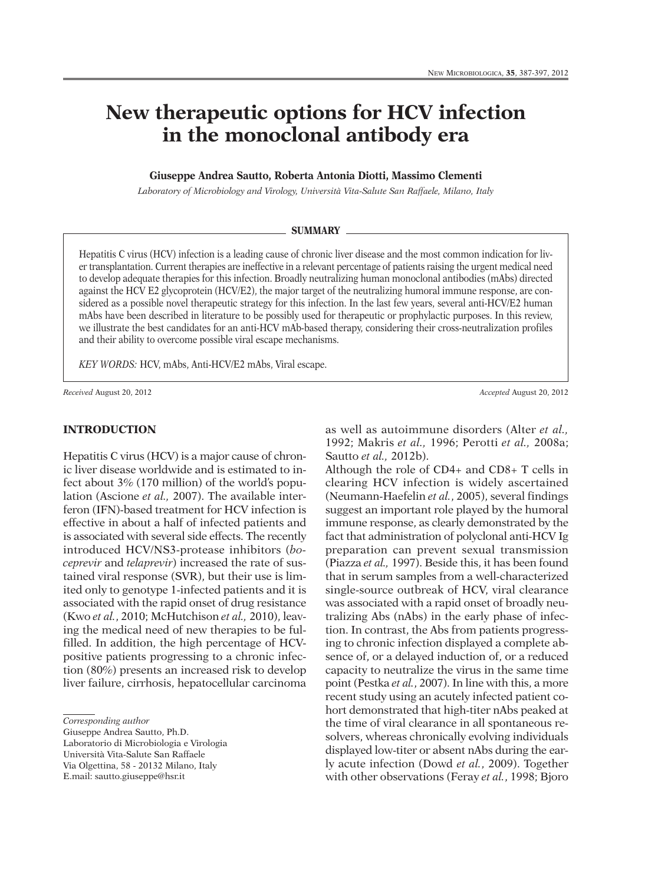# **New therapeutic options for HCV infection in the monoclonal antibody era**

## **Giuseppe Andrea Sautto, Roberta Antonia Diotti, Massimo Clementi**

*Laboratory of Microbiology and Virology, Università Vita-Salute San Raffaele, Milano, Italy*

#### **SUMMARY**

Hepatitis C virus (HCV) infection is a leading cause of chronic liver disease and the most common indication for liver transplantation. Current therapies are ineffective in a relevant percentage of patients raising the urgent medical need to develop adequate therapies for this infection. Broadly neutralizing human monoclonal antibodies (mAbs) directed against the HCV E2 glycoprotein (HCV/E2), the major target of the neutralizing humoral immune response, are considered as a possible novel therapeutic strategy for this infection. In the last few years, several anti-HCV/E2 human mAbs have been described in literature to be possibly used for therapeutic or prophylactic purposes. In this review, we illustrate the best candidates for an anti-HCV mAb-based therapy, considering their cross-neutralization profiles and their ability to overcome possible viral escape mechanisms.

*KEY WORDS:* HCV, mAbs, Anti-HCV/E2 mAbs, Viral escape.

*Received* August 20, 2012 *Accepted* August 20, 2012

#### **INTRODUCTION**

Hepatitis C virus (HCV) is a major cause of chronic liver disease worldwide and is estimated to infect about 3% (170 million) of the world's population (Ascione *et al.,* 2007). The available interferon (IFN)-based treatment for HCV infection is effective in about a half of infected patients and is associated with several side effects. The recently introduced HCV/NS3-protease inhibitors (*boceprevir* and *telaprevir*) increased the rate of sustained viral response (SVR), but their use is limited only to genotype 1-infected patients and it is associated with the rapid onset of drug resistance (Kwo *et al.*, 2010; McHutchison *et al.,* 2010), leaving the medical need of new therapies to be fulfilled. In addition, the high percentage of HCVpositive patients progressing to a chronic infection (80%) presents an increased risk to develop liver failure, cirrhosis, hepatocellular carcinoma

Giuseppe Andrea Sautto, Ph.D.

Laboratorio di Microbiologia e Virologia Università Vita-Salute San Raffaele

Via Olgettina, 58 - 20132 Milano, Italy

E.mail: sautto.giuseppe@hsr.it

as well as autoimmune disorders (Alter *et al.,* 1992; Makris *et al.,* 1996; Perotti *et al.,* 2008a; Sautto *et al.,* 2012b).

Although the role of CD4+ and CD8+ T cells in clearing HCV infection is widely ascertained (Neumann-Haefelin *et al.*, 2005), several findings suggest an important role played by the humoral immune response, as clearly demonstrated by the fact that administration of polyclonal anti-HCV Ig preparation can prevent sexual transmission (Piazza *et al.,* 1997). Beside this, it has been found that in serum samples from a well-characterized single-source outbreak of HCV, viral clearance was associated with a rapid onset of broadly neutralizing Abs (nAbs) in the early phase of infection. In contrast, the Abs from patients progressing to chronic infection displayed a complete absence of, or a delayed induction of, or a reduced capacity to neutralize the virus in the same time point (Pestka *et al.*, 2007). In line with this, a more recent study using an acutely infected patient cohort demonstrated that high-titer nAbs peaked at the time of viral clearance in all spontaneous resolvers, whereas chronically evolving individuals displayed low-titer or absent nAbs during the early acute infection (Dowd *et al.*, 2009). Together with other observations (Feray *et al.*, 1998; Bjoro

*Corresponding author*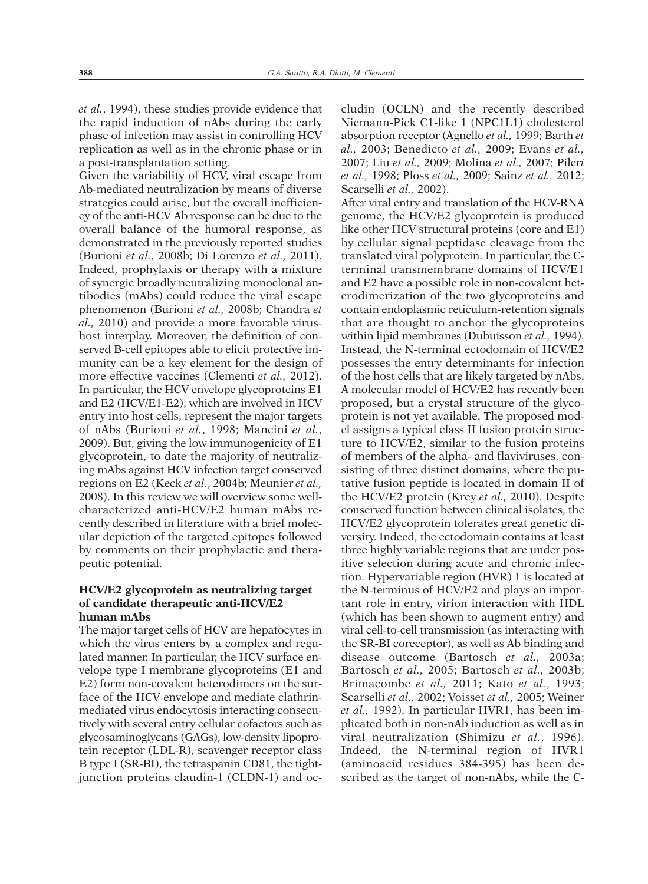*et al.*, 1994), these studies provide evidence that the rapid induction of nAbs during the early phase of infection may assist in controlling HCV replication as well as in the chronic phase or in a post-transplantation setting.

Given the variability of HCV, viral escape from Ab-mediated neutralization by means of diverse strategies could arise, but the overall inefficiency of the anti-HCV Ab response can be due to the overall balance of the humoral response, as demonstrated in the previously reported studies (Burioni *et al.*, 2008b; Di Lorenzo *et al.,* 2011). Indeed, prophylaxis or therapy with a mixture of synergic broadly neutralizing monoclonal antibodies (mAbs) could reduce the viral escape phenomenon (Burioni *et al.,* 2008b; Chandra *et al.,* 2010) and provide a more favorable virushost interplay. Moreover, the definition of conserved B-cell epitopes able to elicit protective immunity can be a key element for the design of more effective vaccines (Clementi *et al.,* 2012). In particular, the HCV envelope glycoproteins E1 and E2 (HCV/E1-E2), which are involved in HCV entry into host cells, represent the major targets of nAbs (Burioni *et al.*, 1998; Mancini *et al.*, 2009). But, giving the low immunogenicity of E1 glycoprotein, to date the majority of neutralizing mAbs against HCV infection target conserved regions on E2 (Keck *et al.*, 2004b; Meunier *et al.,* 2008). In this review we will overview some wellcharacterized anti-HCV/E2 human mAbs recently described in literature with a brief molecular depiction of the targeted epitopes followed by comments on their prophylactic and therapeutic potential.

# **HCV/E2 glycoprotein as neutralizing target of candidate therapeutic anti-HCV/E2 human mAbs**

The major target cells of HCV are hepatocytes in which the virus enters by a complex and regulated manner. In particular, the HCV surface envelope type I membrane glycoproteins (E1 and E2) form non-covalent heterodimers on the surface of the HCV envelope and mediate clathrinmediated virus endocytosis interacting consecutively with several entry cellular cofactors such as glycosaminoglycans (GAGs), low-density lipoprotein receptor (LDL-R), scavenger receptor class B type I (SR-BI), the tetraspanin CD81, the tightjunction proteins claudin-1 (CLDN-1) and oc-

cludin (OCLN) and the recently described Niemann-Pick C1-like 1 (NPC1L1) cholesterol absorption receptor (Agnello *et al.,* 1999; Barth *et al.,* 2003; Benedicto *et al.,* 2009; Evans *et al.,* 2007; Liu *et al.,* 2009; Molina *et al.,* 2007; Piler*i et al.,* 1998; Ploss *et al.,* 2009; Sainz *et al.,* 2012; Scarselli *et al.,* 2002).

After viral entry and translation of the HCV-RNA genome, the HCV/E2 glycoprotein is produced like other HCV structural proteins (core and E1) by cellular signal peptidase cleavage from the translated viral polyprotein. In particular, the Cterminal transmembrane domains of HCV/E1 and E2 have a possible role in non-covalent heterodimerization of the two glycoproteins and contain endoplasmic reticulum-retention signals that are thought to anchor the glycoproteins within lipid membranes (Dubuisson *et al.,* 1994). Instead, the N-terminal ectodomain of HCV/E2 possesses the entry determinants for infection of the host cells that are likely targeted by nAbs. A molecular model of HCV/E2 has recently been proposed, but a crystal structure of the glycoprotein is not yet available. The proposed model assigns a typical class II fusion protein structure to HCV/E2, similar to the fusion proteins of members of the alpha- and flaviviruses, consisting of three distinct domains, where the putative fusion peptide is located in domain II of the HCV/E2 protein (Krey *et al.,* 2010). Despite conserved function between clinical isolates, the HCV/E2 glycoprotein tolerates great genetic diversity. Indeed, the ectodomain contains at least three highly variable regions that are under positive selection during acute and chronic infection. Hypervariable region (HVR) 1 is located at the N-terminus of HCV/E2 and plays an important role in entry, virion interaction with HDL (which has been shown to augment entry) and viral cell-to-cell transmission (as interacting with the SR-BI coreceptor), as well as Ab binding and disease outcome (Bartosch *et al.,* 2003a; Bartosch *et al.,* 2005; Bartosch *et al.,* 2003b; Brimacombe *et al.,* 2011; Kato *et al.*, 1993; Scarselli *et al.,* 2002; Voisset *et al.,* 2005; Weiner *et al.,* 1992). In particular HVR1, has been implicated both in non-nAb induction as well as in viral neutralization (Shimizu *et al.*, 1996). Indeed, the N-terminal region of HVR1 (aminoacid residues 384-395) has been described as the target of non-nAbs, while the C-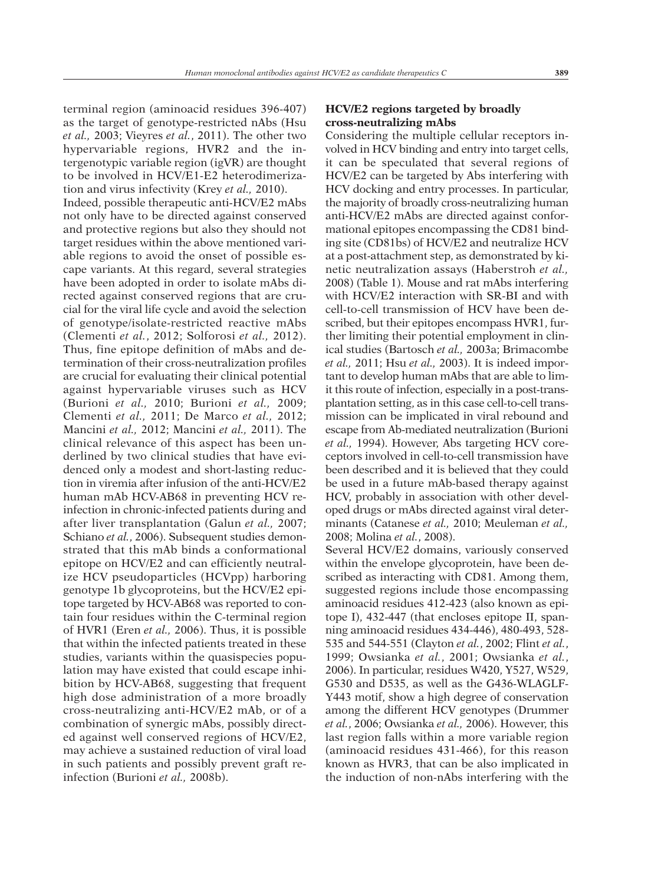terminal region (aminoacid residues 396-407) as the target of genotype-restricted nAbs (Hsu *et al.,* 2003; Vieyres *et al.*, 2011). The other two hypervariable regions, HVR2 and the intergenotypic variable region (igVR) are thought to be involved in HCV/E1-E2 heterodimerization and virus infectivity (Krey *et al.,* 2010). Indeed, possible therapeutic anti-HCV/E2 mAbs not only have to be directed against conserved and protective regions but also they should not target residues within the above mentioned variable regions to avoid the onset of possible escape variants. At this regard, several strategies have been adopted in order to isolate mAbs directed against conserved regions that are crucial for the viral life cycle and avoid the selection of genotype/isolate-restricted reactive mAbs (Clementi *et al.*, 2012; Solforosi *et al.,* 2012). Thus, fine epitope definition of mAbs and determination of their cross-neutralization profiles are crucial for evaluating their clinical potential against hypervariable viruses such as HCV (Burioni *et al.,* 2010; Burioni *et al.,* 2009; Clementi *et al.,* 2011; De Marco *et al.,* 2012; Mancini *et al.,* 2012; Mancini *et al.,* 2011). The clinical relevance of this aspect has been underlined by two clinical studies that have evidenced only a modest and short-lasting reduction in viremia after infusion of the anti-HCV/E2 human mAb HCV-AB68 in preventing HCV reinfection in chronic-infected patients during and after liver transplantation (Galun *et al.,* 2007; Schiano *et al.*, 2006). Subsequent studies demonstrated that this mAb binds a conformational epitope on HCV/E2 and can efficiently neutralize HCV pseudoparticles (HCVpp) harboring genotype 1b glycoproteins, but the HCV/E2 epitope targeted by HCV-AB68 was reported to contain four residues within the C-terminal region of HVR1 (Eren *et al.,* 2006). Thus, it is possible that within the infected patients treated in these studies, variants within the quasispecies population may have existed that could escape inhibition by HCV-AB68, suggesting that frequent high dose administration of a more broadly cross-neutralizing anti-HCV/E2 mAb, or of a combination of synergic mAbs, possibly directed against well conserved regions of HCV/E2, may achieve a sustained reduction of viral load in such patients and possibly prevent graft reinfection (Burioni *et al.,* 2008b).

# **HCV/E2 regions targeted by broadly cross-neutralizing mAbs**

Considering the multiple cellular receptors involved in HCV binding and entry into target cells, it can be speculated that several regions of HCV/E2 can be targeted by Abs interfering with HCV docking and entry processes. In particular, the majority of broadly cross-neutralizing human anti-HCV/E2 mAbs are directed against conformational epitopes encompassing the CD81 binding site (CD81bs) of HCV/E2 and neutralize HCV at a post-attachment step, as demonstrated by kinetic neutralization assays (Haberstroh *et al.,* 2008) (Table 1). Mouse and rat mAbs interfering with HCV/E2 interaction with SR-BI and with cell-to-cell transmission of HCV have been described, but their epitopes encompass HVR1, further limiting their potential employment in clinical studies (Bartosch *et al.,* 2003a; Brimacombe *et al.,* 2011; Hsu *et al.,* 2003). It is indeed important to develop human mAbs that are able to limit this route of infection, especially in a post-transplantation setting, as in this case cell-to-cell transmission can be implicated in viral rebound and escape from Ab-mediated neutralization (Burioni *et al.,* 1994). However, Abs targeting HCV coreceptors involved in cell-to-cell transmission have been described and it is believed that they could be used in a future mAb-based therapy against HCV, probably in association with other developed drugs or mAbs directed against viral determinants (Catanese *et al.,* 2010; Meuleman *et al.,* 2008; Molina *et al.*, 2008).

Several HCV/E2 domains, variously conserved within the envelope glycoprotein, have been described as interacting with CD81. Among them, suggested regions include those encompassing aminoacid residues 412-423 (also known as epitope I), 432-447 (that encloses epitope II, spanning aminoacid residues 434-446), 480-493, 528- 535 and 544-551 (Clayton *et al.*, 2002; Flint *et al.*, 1999; Owsianka *et al.*, 2001; Owsianka *et al.*, 2006). In particular, residues W420, Y527, W529, G530 and D535, as well as the G436-WLAGLF-Y443 motif, show a high degree of conservation among the different HCV genotypes (Drummer *et al.*, 2006; Owsianka *et al.,* 2006). However, this last region falls within a more variable region (aminoacid residues 431-466), for this reason known as HVR3, that can be also implicated in the induction of non-nAbs interfering with the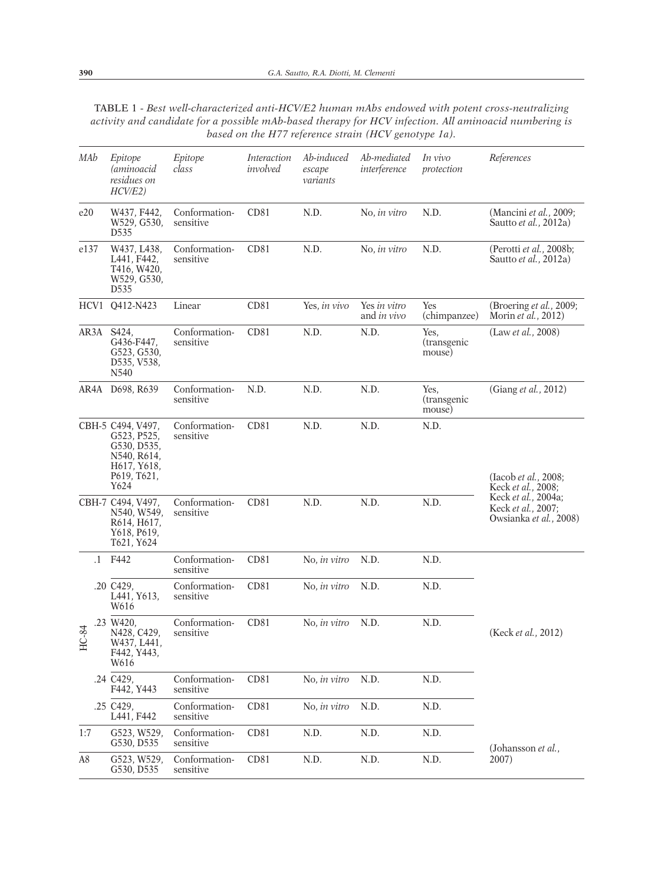TABLE 1 - *Best well-characterized anti-HCV/E2 human mAbs endowed with potent cross-neutralizing activity and candidate for a possible mAb-based therapy for HCV infection. All aminoacid numbering is based on the H77 reference strain (HCV genotype 1a).*

| MAb         |           | Epitope<br>(aminoacid<br>residues on<br>HCV/E2)                                                                                | Epitope<br>class           | Interaction<br>involved | Ab-induced<br>escape<br>variants | Ab-mediated<br>interference        | In vivo<br>protection         | References                                                                                                                        |
|-------------|-----------|--------------------------------------------------------------------------------------------------------------------------------|----------------------------|-------------------------|----------------------------------|------------------------------------|-------------------------------|-----------------------------------------------------------------------------------------------------------------------------------|
| e20         |           | W437, F442,<br>W529, G530,<br>D535                                                                                             | Conformation-<br>sensitive | CD81                    | N.D.                             | No, in vitro                       | N.D.                          | (Mancini et al., 2009;<br>Sautto et al., 2012a)                                                                                   |
| e137        |           | W437, L438,<br>L441, F442,<br>T416, W420,<br>W529, G530,<br>D535                                                               | Conformation-<br>sensitive | CD81                    | N.D.                             | No, in vitro                       | N.D.                          | (Perotti et al., 2008b;<br>Sautto et al., 2012a)                                                                                  |
| HCV1        |           | O412-N423                                                                                                                      | Linear                     | CD81                    | Yes, in vivo                     | Yes in vitro<br>and <i>in vivo</i> | Yes<br>(chimpanzee)           | (Broering et al., 2009;<br>Morin et al., 2012)                                                                                    |
| AR3A        |           | S424,<br>G436-F447,<br>G523, G530,<br>D535, V538,<br>N540                                                                      | Conformation-<br>sensitive | CD81                    | N.D.                             | N.D.                               | Yes,<br>(transgenic<br>mouse) | (Law <i>et al.</i> , 2008)                                                                                                        |
| AR4A        |           | D698, R639                                                                                                                     | Conformation-<br>sensitive | N.D.                    | N.D.                             | N.D.                               | Yes.<br>(transgenic<br>mouse) | (Giang et al., 2012)                                                                                                              |
|             |           | CBH-5 C494, V497,<br>G523, P525,<br>G530, D535,<br>N540, R614,<br>H <sub>617</sub> , Y <sub>618</sub> ,<br>P619, T621,<br>Y624 | Conformation-<br>sensitive | CD81                    | N.D.                             | N.D.                               | N.D.                          | (Iacob et al., 2008;<br>Keck <i>et al.</i> , 2008;<br>Keck <i>et al.</i> , 2004a;<br>Keck et al., 2007;<br>Owsianka et al., 2008) |
|             |           | CBH-7 C494, V497,<br>N540, W549,<br>R614, H617,<br>Y618, P619,<br>T621, Y624                                                   | Conformation-<br>sensitive | CD81                    | N.D.                             | N.D.                               | N.D.                          |                                                                                                                                   |
| $C-84$<br>Ě | $\cdot$ 1 | F442                                                                                                                           | Conformation-<br>sensitive | CD81                    | No, in vitro                     | N.D.                               | N.D.                          |                                                                                                                                   |
|             |           | .20 C429,<br>L441, Y613,<br>W616                                                                                               | Conformation-<br>sensitive | CD <sub>81</sub>        | No, in vitro                     | N.D.                               | N.D.                          | (Keck et al., 2012)                                                                                                               |
|             |           | .23 W420,<br>N428, C429,<br>W437, L441,<br>F442, Y443,<br>W616                                                                 | Conformation-<br>sensitive | CD81                    | No, in vitro                     | N.D.                               | N.D.                          |                                                                                                                                   |
|             |           | .24 C429,<br>F442, Y443                                                                                                        | Conformation-<br>sensitive | CD81                    | No, in vitro                     | N.D.                               | N.D.                          |                                                                                                                                   |
|             |           | .25 C429,<br>L441, F442                                                                                                        | Conformation-<br>sensitive | CD <sub>81</sub>        | No, in vitro                     | N.D.                               | N.D.                          |                                                                                                                                   |
| 1:7         |           | G523, W529,<br>G530, D535                                                                                                      | Conformation-<br>sensitive | CD <sub>81</sub>        | N.D.                             | N.D.                               | N.D.                          | (Johansson et al.,                                                                                                                |
| A8          |           | G523, W529,<br>G530, D535                                                                                                      | Conformation-<br>sensitive | CD <sub>81</sub>        | N.D.                             | N.D.                               | N.D.                          | 2007)                                                                                                                             |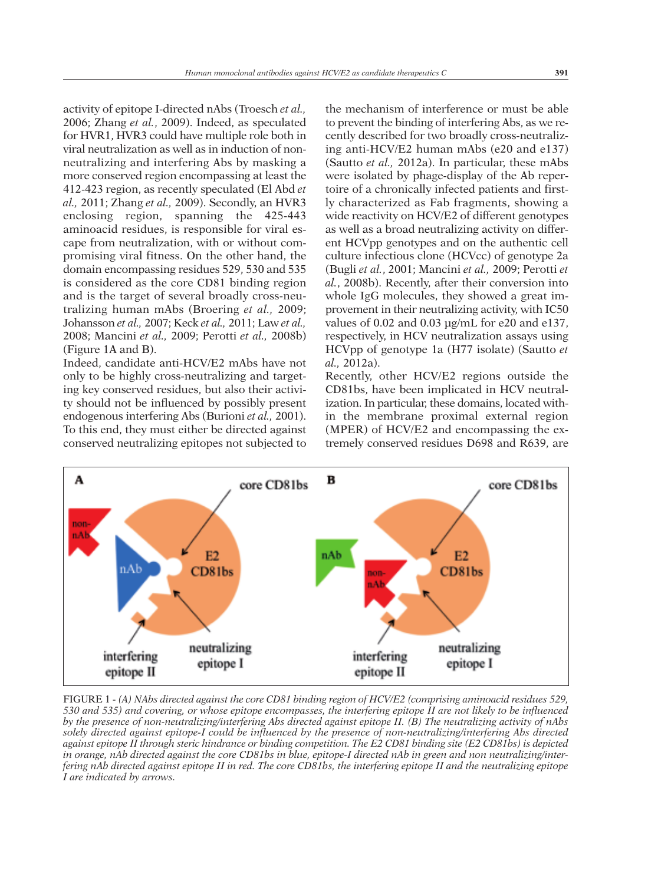activity of epitope I-directed nAbs (Troesch *et al.,* 2006; Zhang *et al.*, 2009). Indeed, as speculated for HVR1, HVR3 could have multiple role both in viral neutralization as well as in induction of nonneutralizing and interfering Abs by masking a more conserved region encompassing at least the 412-423 region, as recently speculated (El Abd *et al.,* 2011; Zhang *et al.,* 2009). Secondly, an HVR3 enclosing region, spanning the 425-443 aminoacid residues, is responsible for viral escape from neutralization, with or without compromising viral fitness. On the other hand, the domain encompassing residues 529, 530 and 535 is considered as the core CD81 binding region and is the target of several broadly cross-neutralizing human mAbs (Broering *et al.,* 2009; Johansson *et al.,* 2007; Keck *et al.,* 2011; Law *et al.,* 2008; Mancini *et al.,* 2009; Perotti *et al.,* 2008b) (Figure 1A and B).

Indeed, candidate anti-HCV/E2 mAbs have not only to be highly cross-neutralizing and targeting key conserved residues, but also their activity should not be influenced by possibly present endogenous interfering Abs (Burioni *et al.,* 2001). To this end, they must either be directed against conserved neutralizing epitopes not subjected to

the mechanism of interference or must be able to prevent the binding of interfering Abs, as we recently described for two broadly cross-neutralizing anti-HCV/E2 human mAbs (e20 and e137) (Sautto *et al.,* 2012a). In particular, these mAbs were isolated by phage-display of the Ab repertoire of a chronically infected patients and firstly characterized as Fab fragments, showing a wide reactivity on HCV/E2 of different genotypes as well as a broad neutralizing activity on different HCVpp genotypes and on the authentic cell culture infectious clone (HCVcc) of genotype 2a (Bugli *et al.*, 2001; Mancini *et al.,* 2009; Perotti *et al.*, 2008b). Recently, after their conversion into whole IgG molecules, they showed a great improvement in their neutralizing activity, with IC50 values of 0.02 and 0.03 µg/mL for e20 and e137, respectively, in HCV neutralization assays using HCVpp of genotype 1a (H77 isolate) (Sautto *et al.,* 2012a).

Recently, other HCV/E2 regions outside the CD81bs, have been implicated in HCV neutralization. In particular, these domains, located within the membrane proximal external region (MPER) of HCV/E2 and encompassing the extremely conserved residues D698 and R639, are



FIGURE 1 - *(A) NAbs directed against the core CD81 binding region of HCV/E2 (comprising aminoacid residues 529,* 530 and 535) and covering, or whose epitope encompasses, the interfering epitope II are not likely to be influenced by the presence of non-neutralizing/interfering Abs directed against epitope II. (B) The neutralizing activity of nAbs *solely directed against epitope-I could be influenced by the presence of non-neutralizing/interfering Abs directed* against epitope II through steric hindrance or binding competition. The E2 CD81 binding site (E2 CD81bs) is depicted in orange, nAb directed against the core CD81bs in blue, epitope-I directed nAb in green and non neutralizing/interfering nAb directed against epitope II in red. The core CD81bs, the interfering epitope II and the neutralizing epitope *I are indicated by arrows.*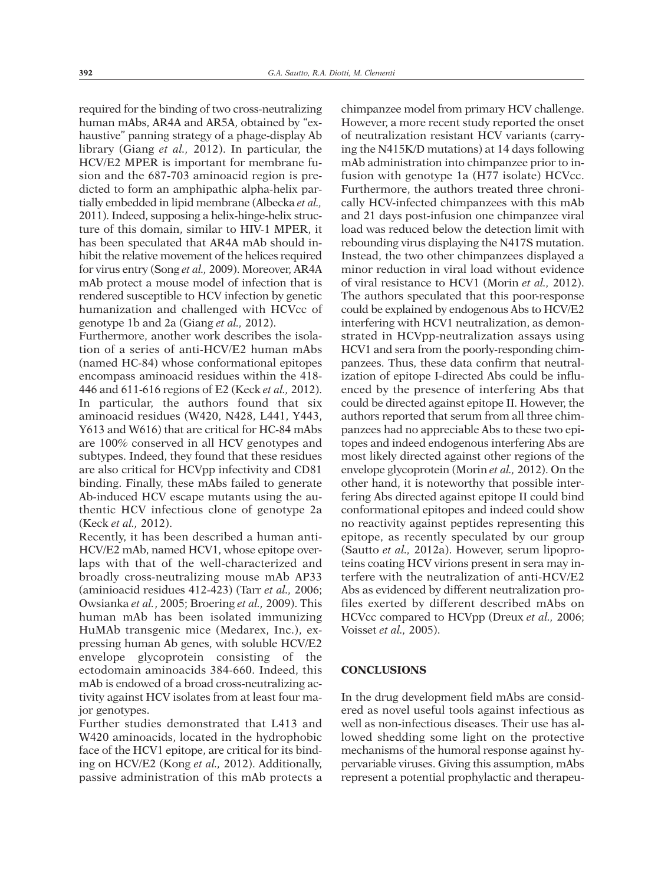required for the binding of two cross-neutralizing human mAbs, AR4A and AR5A, obtained by "exhaustive" panning strategy of a phage-display Ab library (Giang *et al.,* 2012). In particular, the HCV/E2 MPER is important for membrane fusion and the 687-703 aminoacid region is predicted to form an amphipathic alpha-helix partially embedded in lipid membrane (Albecka *et al.,* 2011). Indeed, supposing a helix-hinge-helix structure of this domain, similar to HIV-1 MPER, it has been speculated that AR4A mAb should inhibit the relative movement of the helices required for virus entry (Song *et al.,* 2009). Moreover, AR4A mAb protect a mouse model of infection that is rendered susceptible to HCV infection by genetic humanization and challenged with HCVcc of genotype 1b and 2a (Giang *et al.,* 2012).

Furthermore, another work describes the isolation of a series of anti-HCV/E2 human mAbs (named HC-84) whose conformational epitopes encompass aminoacid residues within the 418- 446 and 611-616 regions of E2 (Keck *et al.,* 2012). In particular, the authors found that six aminoacid residues (W420, N428, L441, Y443, Y613 and W616) that are critical for HC-84 mAbs are 100% conserved in all HCV genotypes and subtypes. Indeed, they found that these residues are also critical for HCVpp infectivity and CD81 binding. Finally, these mAbs failed to generate Ab-induced HCV escape mutants using the authentic HCV infectious clone of genotype 2a (Keck *et al.,* 2012).

Recently, it has been described a human anti-HCV/E2 mAb, named HCV1, whose epitope overlaps with that of the well-characterized and broadly cross-neutralizing mouse mAb AP33 (aminioacid residues 412-423) (Tarr *et al.,* 2006; Owsianka *et al.*, 2005; Broering *et al.,* 2009). This human mAb has been isolated immunizing HuMAb transgenic mice (Medarex, Inc.), expressing human Ab genes, with soluble HCV/E2 envelope glycoprotein consisting of the ectodomain aminoacids 384-660. Indeed, this mAb is endowed of a broad cross-neutralizing activity against HCV isolates from at least four major genotypes.

Further studies demonstrated that L413 and W420 aminoacids, located in the hydrophobic face of the HCV1 epitope, are critical for its binding on HCV/E2 (Kong *et al.,* 2012). Additionally, passive administration of this mAb protects a

chimpanzee model from primary HCV challenge. However, a more recent study reported the onset of neutralization resistant HCV variants (carrying the N415K/D mutations) at 14 days following mAb administration into chimpanzee prior to infusion with genotype 1a (H77 isolate) HCVcc. Furthermore, the authors treated three chronically HCV-infected chimpanzees with this mAb and 21 days post-infusion one chimpanzee viral load was reduced below the detection limit with rebounding virus displaying the N417S mutation. Instead, the two other chimpanzees displayed a minor reduction in viral load without evidence of viral resistance to HCV1 (Morin *et al.,* 2012). The authors speculated that this poor-response could be explained by endogenous Abs to HCV/E2 interfering with HCV1 neutralization, as demonstrated in HCVpp-neutralization assays using HCV1 and sera from the poorly-responding chimpanzees. Thus, these data confirm that neutralization of epitope I-directed Abs could be influenced by the presence of interfering Abs that could be directed against epitope II. However, the authors reported that serum from all three chimpanzees had no appreciable Abs to these two epitopes and indeed endogenous interfering Abs are most likely directed against other regions of the envelope glycoprotein (Morin *et al.,* 2012). On the other hand, it is noteworthy that possible interfering Abs directed against epitope II could bind conformational epitopes and indeed could show no reactivity against peptides representing this epitope, as recently speculated by our group (Sautto *et al.,* 2012a). However, serum lipoproteins coating HCV virions present in sera may interfere with the neutralization of anti-HCV/E2 Abs as evidenced by different neutralization profiles exerted by different described mAbs on HCVcc compared to HCVpp (Dreux *et al.,* 2006; Voisset *et al.,* 2005).

## **CONCLUSIONS**

In the drug development field mAbs are considered as novel useful tools against infectious as well as non-infectious diseases. Their use has allowed shedding some light on the protective mechanisms of the humoral response against hypervariable viruses. Giving this assumption, mAbs represent a potential prophylactic and therapeu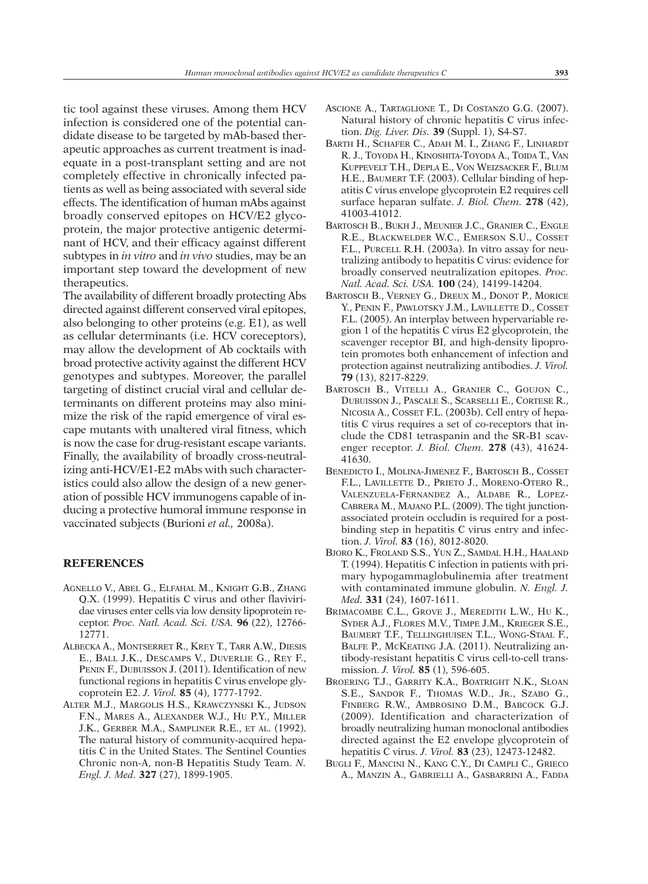tic tool against these viruses. Among them HCV infection is considered one of the potential candidate disease to be targeted by mAb-based therapeutic approaches as current treatment is inadequate in a post-transplant setting and are not completely effective in chronically infected patients as well as being associated with several side effects. The identification of human mAbs against broadly conserved epitopes on HCV/E2 glycoprotein, the major protective antigenic determinant of HCV, and their efficacy against different subtypes in *in vitro* and *in vivo* studies, may be an important step toward the development of new therapeutics.

The availability of different broadly protecting Abs directed against different conserved viral epitopes, also belonging to other proteins (e.g. E1), as well as cellular determinants (i.e. HCV coreceptors), may allow the development of Ab cocktails with broad protective activity against the different HCV genotypes and subtypes. Moreover, the parallel targeting of distinct crucial viral and cellular determinants on different proteins may also minimize the risk of the rapid emergence of viral escape mutants with unaltered viral fitness, which is now the case for drug-resistant escape variants. Finally, the availability of broadly cross-neutralizing anti-HCV/E1-E2 mAbs with such characteristics could also allow the design of a new generation of possible HCV immunogens capable of inducing a protective humoral immune response in vaccinated subjects (Burioni *et al.,* 2008a).

## **REFERENCES**

- AGNELLO V., ABEL G., ELFAHAL M., KNIGHT G.B., ZHANG Q.X. (1999). Hepatitis C virus and other flaviviridae viruses enter cells via low density lipoprotein receptor. *Proc. Natl. Acad. Sci. USA.* **96** (22), 12766- 12771.
- ALBECKA A., MONTSERRET R., KREY T., TARR A.W., DIESIS E., BALL J.K., DESCAMPS V., DUVERLIE G., REY F., PENIN F., DUBUISSON J. (2011). Identification of new functional regions in hepatitis C virus envelope glycoprotein E2. *J. Virol.* **85** (4), 1777-1792.
- ALTER M.J., MARGOLIS H.S., KRAWCZYNSKI K., JUDSON F.N., MARES A., ALEXANDER W.J., HU P.Y., MILLER J.K., GERBER M.A., SAMPLINER R.E., ET AL. (1992). The natural history of community-acquired hepatitis C in the United States. The Sentinel Counties Chronic non-A, non-B Hepatitis Study Team. *N. Engl. J. Med.* **327** (27), 1899-1905.
- ASCIONE A., TARTAGLIONE T., DI COSTANZO G.G. (2007). Natural history of chronic hepatitis C virus infection. *Dig. Liver. Dis.* **39** (Suppl. 1), S4-S7.
- BARTH H., SCHAFER C., ADAH M. I., ZHANG F., LINHARDT R. J., TOYODA H., KINOSHITA-TOYODA A., TOIDA T., VAN KUPPEVELT T.H., DEPLA E., VON WEIZSACKER F., BLUM H.E., BAUMERT T.F. (2003). Cellular binding of hepatitis C virus envelope glycoprotein E2 requires cell surface heparan sulfate. *J. Biol. Chem.* **278** (42), 41003-41012.
- BARTOSCH B., BUKH J., MEUNIER J.C., GRANIER C., ENGLE R.E., BLACKWELDER W.C., EMERSON S.U., COSSET F.L., PURCELL R.H. (2003a). In vitro assay for neutralizing antibody to hepatitis C virus: evidence for broadly conserved neutralization epitopes. *Proc. Natl. Acad. Sci. USA.* **100** (24), 14199-14204.
- BARTOSCH B., VERNEY G., DREUX M., DONOT P., MORICE Y., PENIN F., PAWLOTSKY J.M., LAVILLETTE D., COSSET F.L. (2005). An interplay between hypervariable region 1 of the hepatitis C virus E2 glycoprotein, the scavenger receptor BI, and high-density lipoprotein promotes both enhancement of infection and protection against neutralizing antibodies. *J. Virol.* **79** (13), 8217-8229.
- BARTOSCH B., VITELLI A., GRANIER C., GOUJON C., DUBUISSON J., PASCALE S., SCARSELLI E., CORTESE R., NICOSIA A., COSSET F.L. (2003b). Cell entry of hepatitis C virus requires a set of co-receptors that include the CD81 tetraspanin and the SR-B1 scavenger receptor. *J. Biol. Chem.* **278** (43), 41624- 41630.
- BENEDICTO I., MOLINA-JIMENEZ F., BARTOSCH B., COSSET F.L., LAVILLETTE D., PRIETO J., MORENO-OTERO R., VALENZUELA-FERNANDEZ A., ALDABE R., LOPEZ-CABRERA M., MAJANO P.L. (2009). The tight junctionassociated protein occludin is required for a postbinding step in hepatitis C virus entry and infection. *J. Virol.* **83** (16), 8012-8020.
- BJORO K., FROLAND S.S., YUN Z., SAMDAL H.H., HAALAND T. (1994). Hepatitis C infection in patients with primary hypogammaglobulinemia after treatment with contaminated immune globulin. *N. Engl. J. Med.* **331** (24), 1607-1611.
- BRIMACOMBE C.L., GROVE J., MEREDITH L.W., HU K., SYDER A.J., FLORES M.V., TIMPE J.M., KRIEGER S.E., BAUMERT T.F., TELLINGHUISEN T.L., WONG-STAAL F., BALFE P., MCKEATING J.A. (2011). Neutralizing antibody-resistant hepatitis C virus cell-to-cell transmission. *J. Virol.* **85** (1), 596-605.
- BROERING T.J., GARRITY K.A., BOATRIGHT N.K., SLOAN S.E., SANDOR F., THOMAS W.D., JR., SZABO G., FINBERG R.W., AMBROSINO D.M., BABCOCK G.J. (2009). Identification and characterization of broadly neutralizing human monoclonal antibodies directed against the E2 envelope glycoprotein of hepatitis C virus. *J. Virol.* **83** (23), 12473-12482.
- BUGLI F., MANCINI N., KANG C.Y., DI CAMPLI C., GRIECO A., MANZIN A., GABRIELLI A., GASBARRINI A., FADDA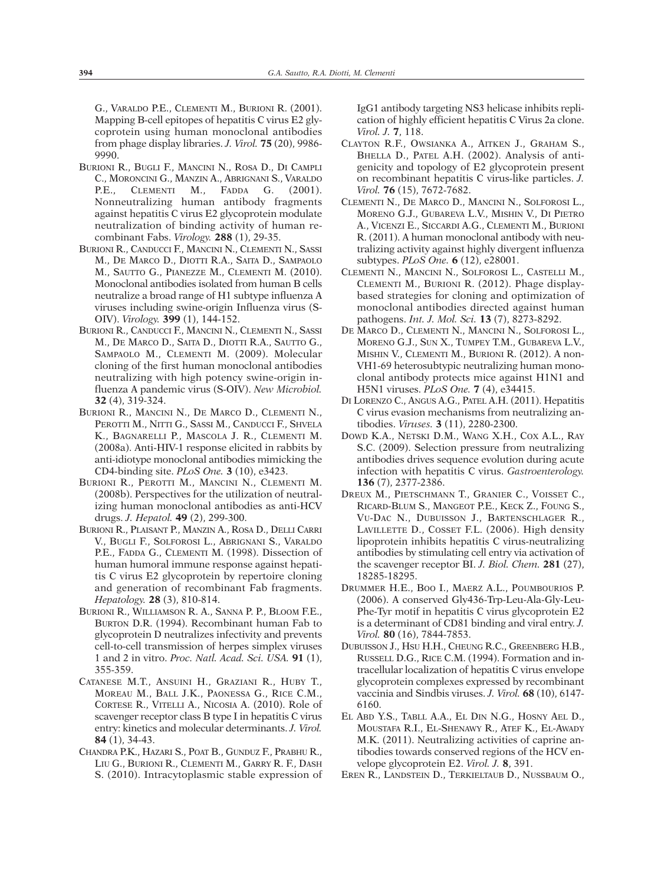G., VARALDO P.E., CLEMENTI M., BURIONI R. (2001). Mapping B-cell epitopes of hepatitis C virus E2 glycoprotein using human monoclonal antibodies from phage display libraries. *J. Virol.* **75** (20), 9986- 9990.

- BURIONI R., BUGLI F., MANCINI N., ROSA D., DI CAMPLI C., MORONCINI G., MANZIN A., ABRIGNANI S., VARALDO P.E., CLEMENTI M., FADDA G. (2001). Nonneutralizing human antibody fragments against hepatitis C virus E2 glycoprotein modulate neutralization of binding activity of human recombinant Fabs. *Virology.* **288** (1), 29-35.
- BURIONI R., CANDUCCI F., MANCINI N., CLEMENTI N., SASSI M., DE MARCO D., DIOTTI R.A., SAITA D., SAMPAOLO M., SAUTTO G., PIANEZZE M., CLEMENTI M. (2010). Monoclonal antibodies isolated from human B cells neutralize a broad range of H1 subtype influenza A viruses including swine-origin Influenza virus (S-OIV). *Virology.* **399** (1), 144-152.
- BURIONI R., CANDUCCI F., MANCINI N., CLEMENTI N., SASSI M., DE MARCO D., SAITA D., DIOTTI R.A., SAUTTO G., SAMPAOLO M., CLEMENTI M. (2009). Molecular cloning of the first human monoclonal antibodies neutralizing with high potency swine-origin influenza A pandemic virus (S-OIV). *New Microbiol.* **32** (4), 319-324.
- BURIONI R., MANCINI N., DE MARCO D., CLEMENTI N., PEROTTI M., NITTI G., SASSI M., CANDUCCI F., SHVELA K., BAGNARELLI P., MASCOLA J. R., CLEMENTI M. (2008a). Anti-HIV-1 response elicited in rabbits by anti-idiotype monoclonal antibodies mimicking the CD4-binding site. *PLoS One.* **3** (10), e3423.
- BURIONI R., PEROTTI M., MANCINI N., CLEMENTI M. (2008b). Perspectives for the utilization of neutralizing human monoclonal antibodies as anti-HCV drugs. *J. Hepatol.* **49** (2), 299-300.
- BURIONI R., PLAISANT P., MANZIN A., ROSA D., DELLI CARRI V., BUGLI F., SOLFOROSI L., ABRIGNANI S., VARALDO P.E., FADDA G., CLEMENTI M. (1998). Dissection of human humoral immune response against hepatitis C virus E2 glycoprotein by repertoire cloning and generation of recombinant Fab fragments. *Hepatology.* **28** (3), 810-814.
- BURIONI R., WILLIAMSON R. A., SANNA P. P., BLOOM F.E., BURTON D.R. (1994). Recombinant human Fab to glycoprotein D neutralizes infectivity and prevents cell-to-cell transmission of herpes simplex viruses 1 and 2 in vitro. *Proc. Natl. Acad. Sci. USA.* **91** (1), 355-359.
- CATANESE M.T., ANSUINI H., GRAZIANI R., HUBY T., MOREAU M., BALL J.K., PAONESSA G., RICE C.M., CORTESE R., VITELLI A., NICOSIA A. (2010). Role of scavenger receptor class B type I in hepatitis C virus entry: kinetics and molecular determinants. *J. Virol.* **84** (1), 34-43.
- CHANDRA P.K., HAZARI S., POAT B., GUNDUZ F., PRABHU R., LIU G., BURIONI R., CLEMENTI M., GARRY R. F., DASH S. (2010). Intracytoplasmic stable expression of

IgG1 antibody targeting NS3 helicase inhibits replication of highly efficient hepatitis C Virus 2a clone. *Virol. J.* **7**, 118.

- CLAYTON R.F., OWSIANKA A., AITKEN J., GRAHAM S., BHELLA D., PATEL A.H. (2002). Analysis of antigenicity and topology of E2 glycoprotein present on recombinant hepatitis C virus-like particles. *J. Virol.* **76** (15), 7672-7682.
- CLEMENTI N., DE MARCO D., MANCINI N., SOLFOROSI L., MORENO G.J., GUBAREVA L.V., MISHIN V., DI PIETRO A., VICENZI E., SICCARDI A.G., CLEMENTI M., BURIONI R. (2011). A human monoclonal antibody with neutralizing activity against highly divergent influenza subtypes. *PLoS One.* **6** (12), e28001.
- CLEMENTI N., MANCINI N., SOLFOROSI L., CASTELLI M., CLEMENTI M., BURIONI R. (2012). Phage displaybased strategies for cloning and optimization of monoclonal antibodies directed against human pathogens. *Int. J. Mol. Sci.* **13** (7), 8273-8292.
- DE MARCO D., CLEMENTI N., MANCINI N., SOLFOROSI L., MORENO G.J., SUN X., TUMPEY T.M., GUBAREVA L.V., MISHIN V., CLEMENTI M., BURIONI R. (2012). A non-VH1-69 heterosubtypic neutralizing human monoclonal antibody protects mice against H1N1 and H5N1 viruses. *PLoS One.* **7** (4), e34415.
- DI LORENZO C., ANGUS A.G., PATEL A.H. (2011). Hepatitis C virus evasion mechanisms from neutralizing antibodies. *Viruses.* **3** (11), 2280-2300.
- DOWD K.A., NETSKI D.M., WANG X.H., COX A.L., RAY S.C. (2009). Selection pressure from neutralizing antibodies drives sequence evolution during acute infection with hepatitis C virus. *Gastroenterology.* **136** (7), 2377-2386.
- DREUX M., PIETSCHMANN T., GRANIER C., VOISSET C., RICARD-BLUM S., MANGEOT P.E., KECK Z., FOUNG S., VU-DAC N., DUBUISSON J., BARTENSCHLAGER R., LAVILLETTE D., COSSET F.L. (2006). High density lipoprotein inhibits hepatitis C virus-neutralizing antibodies by stimulating cell entry via activation of the scavenger receptor BI. *J. Biol. Chem.* **281** (27), 18285-18295.
- DRUMMER H.E., BOO I., MAERZ A.L., POUMBOURIOS P. (2006). A conserved Gly436-Trp-Leu-Ala-Gly-Leu-Phe-Tyr motif in hepatitis C virus glycoprotein E2 is a determinant of CD81 binding and viral entry. *J. Virol.* **80** (16), 7844-7853.
- DUBUISSON J., HSU H.H., CHEUNG R.C., GREENBERG H.B., RUSSELL D.G., RICE C.M. (1994). Formation and intracellular localization of hepatitis C virus envelope glycoprotein complexes expressed by recombinant vaccinia and Sindbis viruses. *J. Virol.* **68** (10), 6147- 6160.
- EL ABD Y.S., TABLL A.A., EL DIN N.G., HOSNY AEL D., MOUSTAFA R.I., EL-SHENAWY R., ATEF K., EL-AWADY M.K. (2011). Neutralizing activities of caprine antibodies towards conserved regions of the HCV envelope glycoprotein E2. *Virol. J.* **8**, 391.
- EREN R., LANDSTEIN D., TERKIELTAUB D., NUSSBAUM O.,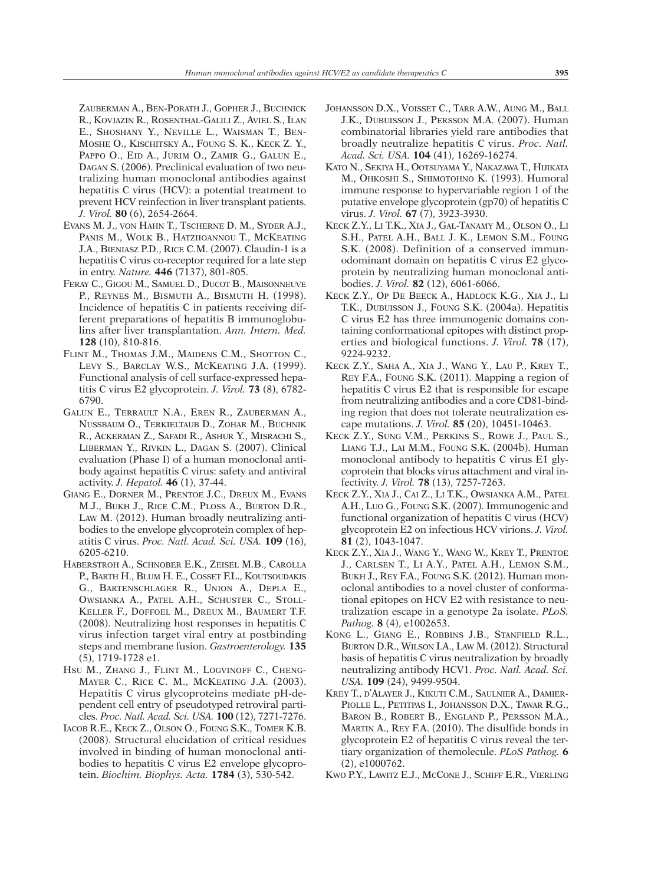ZAUBERMAN A., BEN-PORATH J., GOPHER J., BUCHNICK R., KOVJAZIN R., ROSENTHAL-GALILI Z., AVIEL S., ILAN E., SHOSHANY Y., NEVILLE L., WAISMAN T., BEN-MOSHE O., KISCHITSKY A., FOUNG S. K., KECK Z. Y., PAPPO O., EID A., JURIM O., ZAMIR G., GALUN E., DAGAN S. (2006). Preclinical evaluation of two neutralizing human monoclonal antibodies against hepatitis C virus (HCV): a potential treatment to prevent HCV reinfection in liver transplant patients. *J. Virol.* **80** (6), 2654-2664.

- EVANS M. J., VON HAHN T., TSCHERNE D. M., SYDER A.J., PANIS M., WOLK B., HATZIIOANNOU T., MCKEATING J.A., BIENIASZ P.D., RICE C.M. (2007). Claudin-1 is a hepatitis C virus co-receptor required for a late step in entry. *Nature.* **446** (7137), 801-805.
- FERAY C., GIGOU M., SAMUEL D., DUCOT B., MAISONNEUVE P., REYNES M., BISMUTH A., BISMUTH H. (1998). Incidence of hepatitis C in patients receiving different preparations of hepatitis B immunoglobulins after liver transplantation. *Ann. Intern. Med.* **128** (10), 810-816.
- FLINT M., THOMAS J.M., MAIDENS C.M., SHOTTON C., LEVY S., BARCLAY W.S., MCKEATING J.A. (1999). Functional analysis of cell surface-expressed hepatitis C virus E2 glycoprotein. *J. Virol.* **73** (8), 6782- 6790.
- GALUN E., TERRAULT N.A., EREN R., ZAUBERMAN A., NUSSBAUM O., TERKIELTAUB D., ZOHAR M., BUCHNIK R., ACKERMAN Z., SAFADI R., ASHUR Y., MISRACHI S., LIBERMAN Y., RIVKIN L., DAGAN S. (2007). Clinical evaluation (Phase I) of a human monoclonal antibody against hepatitis C virus: safety and antiviral activity. *J. Hepatol.* **46** (1), 37-44.
- GIANG E., DORNER M., PRENTOE J.C., DREUX M., EVANS M.J., BUKH J., RICE C.M., PLOSS A., BURTON D.R., LAW M. (2012). Human broadly neutralizing antibodies to the envelope glycoprotein complex of hepatitis C virus. *Proc. Natl. Acad. Sci. USA.* **109** (16), 6205-6210.
- HABERSTROH A., SCHNOBER E.K., ZEISEL M.B., CAROLLA P., BARTH H., BLUM H. E., COSSET F.L., KOUTSOUDAKIS G., BARTENSCHLAGER R., UNION A., DEPLA E., OWSIANKA A., PATEL A.H., SCHUSTER C., STOLL-KELLER F., DOFFOEL M., DREUX M., BAUMERT T.F. (2008). Neutralizing host responses in hepatitis C virus infection target viral entry at postbinding steps and membrane fusion. *Gastroenterology.* **135** (5), 1719-1728 e1.
- HSU M., ZHANG J., FLINT M., LOGVINOFF C., CHENG-MAYER C., RICE C. M., MCKEATING J.A. (2003). Hepatitis C virus glycoproteins mediate pH-dependent cell entry of pseudotyped retroviral particles. *Proc. Natl. Acad. Sci. USA.* **100** (12), 7271-7276.
- IACOB R.E., KECK Z., OLSON O., FOUNG S.K., TOMER K.B. (2008). Structural elucidation of critical residues involved in binding of human monoclonal antibodies to hepatitis C virus E2 envelope glycoprotein. *Biochim. Biophys. Acta.* **1784** (3), 530-542.
- JOHANSSON D.X., VOISSET C., TARR A.W., AUNG M., BALL J.K., DUBUISSON J., PERSSON M.A. (2007). Human combinatorial libraries yield rare antibodies that broadly neutralize hepatitis C virus. *Proc. Natl. Acad. Sci. USA.* **104** (41), 16269-16274.
- KATO N., SEKIYA H., OOTSUYAMA Y., NAKAZAWA T., HIJIKATA M., OHKOSHI S., SHIMOTOHNO K. (1993). Humoral immune response to hypervariable region 1 of the putative envelope glycoprotein (gp70) of hepatitis C virus. *J. Virol.* **67** (7), 3923-3930.
- KECK Z.Y., LI T.K., XIA J., GAL-TANAMY M., OLSON O., LI S.H., PATEL A.H., BALL J. K., LEMON S.M., FOUNG S.K. (2008). Definition of a conserved immunodominant domain on hepatitis C virus E2 glycoprotein by neutralizing human monoclonal antibodies. *J. Virol.* **82** (12), 6061-6066.
- KECK Z.Y., OP DE BEECK A., HADLOCK K.G., XIA J., LI T.K., DUBUISSON J., FOUNG S.K. (2004a). Hepatitis C virus E2 has three immunogenic domains containing conformational epitopes with distinct properties and biological functions. *J. Virol.* **78** (17), 9224-9232.
- KECK Z.Y., SAHA A., XIA J., WANG Y., LAU P., KREY T., REY F.A., FOUNG S.K. (2011). Mapping a region of hepatitis C virus E2 that is responsible for escape from neutralizing antibodies and a core CD81-binding region that does not tolerate neutralization escape mutations. *J. Virol.* **85** (20), 10451-10463.
- KECK Z.Y., SUNG V.M., PERKINS S., ROWE J., PAUL S., LIANG T.J., LAI M.M., FOUNG S.K. (2004b). Human monoclonal antibody to hepatitis C virus E1 glycoprotein that blocks virus attachment and viral infectivity. *J. Virol.* **78** (13), 7257-7263.
- KECK Z.Y., XIA J., CAI Z., LI T.K., OWSIANKA A.M., PATEL A.H., LUO G., FOUNG S.K. (2007). Immunogenic and functional organization of hepatitis C virus (HCV) glycoprotein E2 on infectious HCV virions. *J. Virol.* **81** (2), 1043-1047.
- KECK Z.Y., XIA J., WANG Y., WANG W., KREY T., PRENTOE J., CARLSEN T., LI A.Y., PATEL A.H., LEMON S.M., BUKH J., REY F.A., FOUNG S.K. (2012). Human monoclonal antibodies to a novel cluster of conformational epitopes on HCV E2 with resistance to neutralization escape in a genotype 2a isolate. *PLoS. Pathog.* **8** (4), e1002653.
- KONG L., GIANG E., ROBBINS J.B., STANFIELD R.L., BURTON D.R., WILSON I.A., LAW M. (2012). Structural basis of hepatitis C virus neutralization by broadly neutralizing antibody HCV1. *Proc. Natl. Acad. Sci. USA.* **109** (24), 9499-9504.
- KREY T., D'ALAYER J., KIKUTI C.M., SAULNIER A., DAMIER-PIOLLE L., PETITPAS I., JOHANSSON D.X., TAWAR R.G., BARON B., ROBERT B., ENGLAND P., PERSSON M.A., MARTIN A., REY F.A. (2010). The disulfide bonds in glycoprotein E2 of hepatitis C virus reveal the tertiary organization of themolecule. *PLoS Pathog.* **6** (2), e1000762.
- KWO P.Y., LAWITZ E.J., MCCONE J., SCHIFF E.R., VIERLING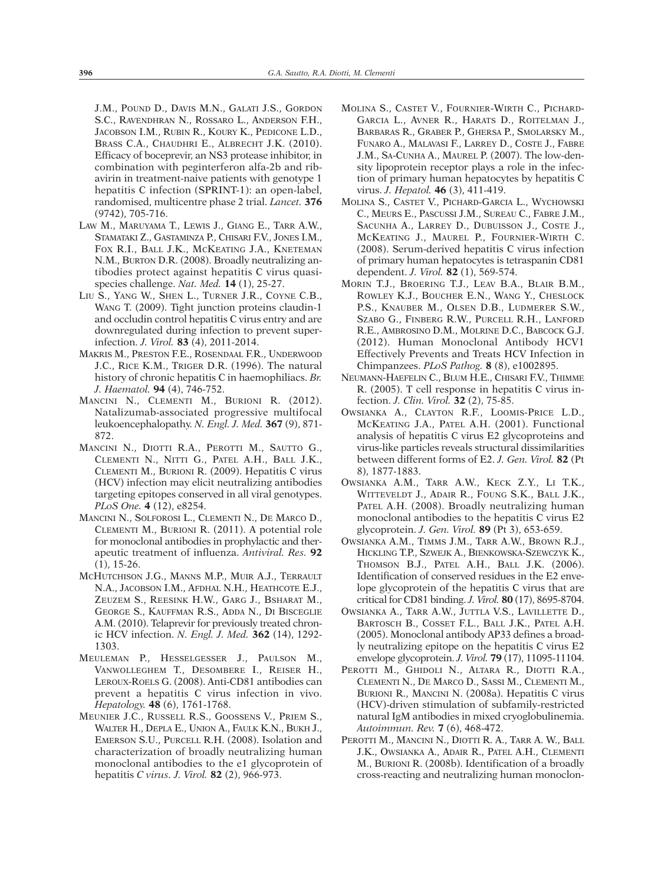J.M., POUND D., DAVIS M.N., GALATI J.S., GORDON S.C., RAVENDHRAN N., ROSSARO L., ANDERSON F.H., JACOBSON I.M., RUBIN R., KOURY K., PEDICONE L.D., BRASS C.A., CHAUDHRI E., ALBRECHT J.K. (2010). Efficacy of boceprevir, an NS3 protease inhibitor, in combination with peginterferon alfa-2b and ribavirin in treatment-naive patients with genotype 1 hepatitis C infection (SPRINT-1): an open-label, randomised, multicentre phase 2 trial. *Lancet.* **376** (9742), 705-716.

- LAW M., MARUYAMA T., LEWIS J., GIANG E., TARR A.W., STAMATAKI Z., GASTAMINZA P., CHISARI F.V., JONES I.M., FOX R.I., BALL J.K., MCKEATING J.A., KNETEMAN N.M., BURTON D.R. (2008). Broadly neutralizing antibodies protect against hepatitis C virus quasispecies challenge. *Nat. Med.* **14** (1), 25-27.
- LIU S., YANG W., SHEN L., TURNER J.R., COYNE C.B., WANG T. (2009). Tight junction proteins claudin-1 and occludin control hepatitis C virus entry and are downregulated during infection to prevent superinfection. *J. Virol.* **83** (4), 2011-2014.
- MAKRIS M., PRESTON F.E., ROSENDAAL F.R., UNDERWOOD J.C., RICE K.M., TRIGER D.R. (1996). The natural history of chronic hepatitis C in haemophiliacs. *Br. J. Haematol.* **94** (4), 746-752.
- MANCINI N., CLEMENTI M., BURIONI R. (2012). Natalizumab-associated progressive multifocal leukoencephalopathy. *N. Engl. J. Med.* **367** (9), 871- 872.
- MANCINI N., DIOTTI R.A., PEROTTI M., SAUTTO G., CLEMENTI N., NITTI G., PATEL A.H., BALL J.K., CLEMENTI M., BURIONI R. (2009). Hepatitis C virus (HCV) infection may elicit neutralizing antibodies targeting epitopes conserved in all viral genotypes. *PLoS One.* **4** (12), e8254.
- MANCINI N., SOLFOROSI L., CLEMENTI N., DE MARCO D., CLEMENTI M., BURIONI R. (2011). A potential role for monoclonal antibodies in prophylactic and therapeutic treatment of influenza. *Antiviral. Res.* **92** (1), 15-26.
- MCHUTCHISON J.G., MANNS M.P., MUIR A.J., TERRAULT N.A., JACOBSON I.M., AFDHAL N.H., HEATHCOTE E.J., ZEUZEM S., REESINK H.W., GARG J., BSHARAT M., GEORGE S., KAUFFMAN R.S., ADDA N., DI BISCEGLIE A.M. (2010). Telaprevir for previously treated chronic HCV infection. *N. Engl. J. Med.* **362** (14), 1292- 1303.
- MEULEMAN P., HESSELGESSER J., PAULSON M., VANWOLLEGHEM T., DESOMBERE I., REISER H., LEROUX-ROELS G. (2008). Anti-CD81 antibodies can prevent a hepatitis C virus infection in vivo. *Hepatology.* **48** (6), 1761-1768.
- MEUNIER J.C., RUSSELL R.S., GOOSSENS V., PRIEM S., WALTER H., DEPLA E., UNION A., FAULK K.N., BUKH J., EMERSON S.U., PURCELL R.H. (2008). Isolation and characterization of broadly neutralizing human monoclonal antibodies to the e1 glycoprotein of hepatitis *C virus. J. Virol.* **82** (2), 966-973.
- MOLINA S., CASTET V., FOURNIER-WIRTH C., PICHARD-GARCIA L., AVNER R., HARATS D., ROITELMAN J., BARBARAS R., GRABER P., GHERSA P., SMOLARSKY M., FUNARO A., MALAVASI F., LARREY D., COSTE J., FABRE J.M., SA-CUNHA A., MAUREL P. (2007). The low-density lipoprotein receptor plays a role in the infection of primary human hepatocytes by hepatitis C virus. *J. Hepatol.* **46** (3), 411-419.
- MOLINA S., CASTET V., PICHARD-GARCIA L., WYCHOWSKI C., MEURS E., PASCUSSI J.M., SUREAU C., FABRE J.M., SACUNHA A., LARREY D., DUBUISSON J., COSTE J., MCKEATING J., MAUREL P., FOURNIER-WIRTH C. (2008). Serum-derived hepatitis C virus infection of primary human hepatocytes is tetraspanin CD81 dependent. *J. Virol.* **82** (1), 569-574.
- MORIN T.J., BROERING T.J., LEAV B.A., BLAIR B.M., ROWLEY K.J., BOUCHER E.N., WANG Y., CHESLOCK P.S., KNAUBER M., OLSEN D.B., LUDMERER S.W., SZABO G., FINBERG R.W., PURCELL R.H., LANFORD R.E., AMBROSINO D.M., MOLRINE D.C., BABCOCK G.J. (2012). Human Monoclonal Antibody HCV1 Effectively Prevents and Treats HCV Infection in Chimpanzees. *PLoS Pathog.* **8** (8), e1002895.
- NEUMANN-HAEFELIN C., BLUM H.E., CHISARI F.V., THIMME R. (2005). T cell response in hepatitis C virus infection. *J. Clin. Virol.* **32** (2), 75-85.
- OWSIANKA A., CLAYTON R.F., LOOMIS-PRICE L.D., MCKEATING J.A., PATEL A.H. (2001). Functional analysis of hepatitis C virus E2 glycoproteins and virus-like particles reveals structural dissimilarities between different forms of E2. *J. Gen. Virol.* **82** (Pt 8), 1877-1883.
- OWSIANKA A.M., TARR A.W., KECK Z.Y., LI T.K., WITTEVELDT J., ADAIR R., FOUNG S.K., BALL J.K., PATEL A.H. (2008). Broadly neutralizing human monoclonal antibodies to the hepatitis C virus E2 glycoprotein. *J. Gen. Virol.* **89** (Pt 3), 653-659.
- OWSIANKA A.M., TIMMS J.M., TARR A.W., BROWN R.J., HICKLING T.P., SZWEJK A., BIENKOWSKA-SZEWCZYK K., THOMSON B.J., PATEL A.H., BALL J.K. (2006). Identification of conserved residues in the E2 envelope glycoprotein of the hepatitis C virus that are critical for CD81 binding. *J. Virol.* **80** (17), 8695-8704.
- OWSIANKA A., TARR A.W., JUTTLA V.S., LAVILLETTE D., BARTOSCH B., COSSET F.L., BALL J.K., PATEL A.H. (2005). Monoclonal antibody AP33 defines a broadly neutralizing epitope on the hepatitis C virus E2 envelope glycoprotein. *J. Virol.* **79** (17), 11095-11104.
- PEROTTI M., GHIDOLI N., ALTARA R., DIOTTI R.A., CLEMENTI N., DE MARCO D., SASSI M., CLEMENTI M., BURIONI R., MANCINI N. (2008a). Hepatitis C virus (HCV)-driven stimulation of subfamily-restricted natural IgM antibodies in mixed cryoglobulinemia. *Autoimmun. Rev.* **7** (6), 468-472.
- PEROTTI M., MANCINI N., DIOTTI R. A., TARR A. W., BALL J.K., OWSIANKA A., ADAIR R., PATEL A.H., CLEMENTI M., BURIONI R. (2008b). Identification of a broadly cross-reacting and neutralizing human monoclon-